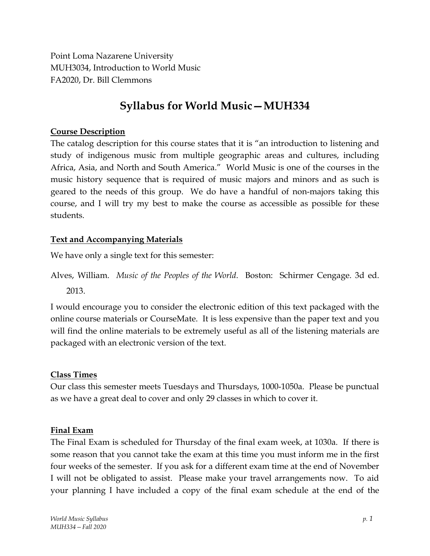Point Loma Nazarene University MUH3034, Introduction to World Music FA2020, Dr. Bill Clemmons

# **Syllabus for World Music—MUH334**

## **Course Description**

The catalog description for this course states that it is "an introduction to listening and study of indigenous music from multiple geographic areas and cultures, including Africa, Asia, and North and South America." World Music is one of the courses in the music history sequence that is required of music majors and minors and as such is geared to the needs of this group. We do have a handful of non-majors taking this course, and I will try my best to make the course as accessible as possible for these students.

## **Text and Accompanying Materials**

We have only a single text for this semester:

Alves, William. *Music of the Peoples of the World*. Boston: Schirmer Cengage. 3d ed. 2013.

I would encourage you to consider the electronic edition of this text packaged with the online course materials or CourseMate. It is less expensive than the paper text and you will find the online materials to be extremely useful as all of the listening materials are packaged with an electronic version of the text.

## **Class Times**

Our class this semester meets Tuesdays and Thursdays, 1000-1050a. Please be punctual as we have a great deal to cover and only 29 classes in which to cover it.

## **Final Exam**

The Final Exam is scheduled for Thursday of the final exam week, at 1030a. If there is some reason that you cannot take the exam at this time you must inform me in the first four weeks of the semester. If you ask for a different exam time at the end of November I will not be obligated to assist. Please make your travel arrangements now. To aid your planning I have included a copy of the final exam schedule at the end of the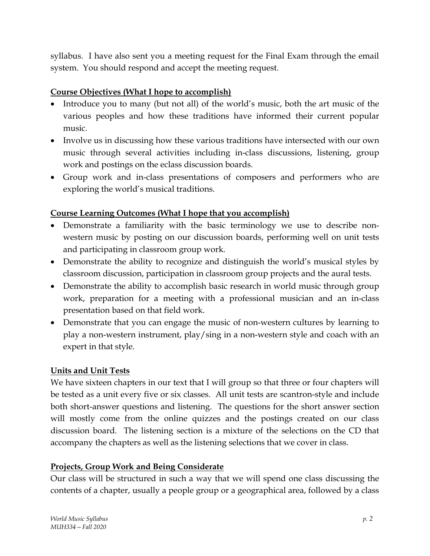syllabus. I have also sent you a meeting request for the Final Exam through the email system. You should respond and accept the meeting request.

# **Course Objectives (What I hope to accomplish)**

- Introduce you to many (but not all) of the world's music, both the art music of the various peoples and how these traditions have informed their current popular music.
- Involve us in discussing how these various traditions have intersected with our own music through several activities including in-class discussions, listening, group work and postings on the eclass discussion boards.
- Group work and in-class presentations of composers and performers who are exploring the world's musical traditions.

# **Course Learning Outcomes (What I hope that you accomplish)**

- Demonstrate a familiarity with the basic terminology we use to describe nonwestern music by posting on our discussion boards, performing well on unit tests and participating in classroom group work.
- Demonstrate the ability to recognize and distinguish the world's musical styles by classroom discussion, participation in classroom group projects and the aural tests.
- Demonstrate the ability to accomplish basic research in world music through group work, preparation for a meeting with a professional musician and an in-class presentation based on that field work.
- Demonstrate that you can engage the music of non-western cultures by learning to play a non-western instrument, play/sing in a non-western style and coach with an expert in that style.

## **Units and Unit Tests**

We have sixteen chapters in our text that I will group so that three or four chapters will be tested as a unit every five or six classes. All unit tests are scantron-style and include both short-answer questions and listening. The questions for the short answer section will mostly come from the online quizzes and the postings created on our class discussion board. The listening section is a mixture of the selections on the CD that accompany the chapters as well as the listening selections that we cover in class.

## **Projects, Group Work and Being Considerate**

Our class will be structured in such a way that we will spend one class discussing the contents of a chapter, usually a people group or a geographical area, followed by a class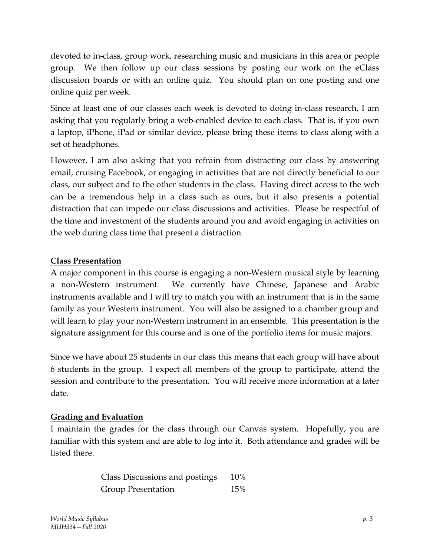devoted to in-class, group work, researching music and musicians in this area or people group. We then follow up our class sessions by posting our work on the eClass discussion boards or with an online quiz. You should plan on one posting and one online quiz per week.

Since at least one of our classes each week is devoted to doing in-class research, I am asking that you regularly bring a web-enabled device to each class. That is, if you own a laptop, iPhone, iPad or similar device, please bring these items to class along with a set of headphones.

However, I am also asking that you refrain from distracting our class by answering email, cruising Facebook, or engaging in activities that are not directly beneficial to our class, our subject and to the other students in the class. Having direct access to the web can be a tremendous help in a class such as ours, but it also presents a potential distraction that can impede our class discussions and activities. Please be respectful of the time and investment of the students around you and avoid engaging in activities on the web during class time that present a distraction.

# **Class Presentation**

A major component in this course is engaging a non-Western musical style by learning a non-Western instrument. We currently have Chinese, Japanese and Arabic instruments available and I will try to match you with an instrument that is in the same family as your Western instrument. You will also be assigned to a chamber group and will learn to play your non-Western instrument in an ensemble. This presentation is the signature assignment for this course and is one of the portfolio items for music majors.

Since we have about 25 students in our class this means that each group will have about 6 students in the group. I expect all members of the group to participate, attend the session and contribute to the presentation. You will receive more information at a later date.

# **Grading and Evaluation**

I maintain the grades for the class through our Canvas system. Hopefully, you are familiar with this system and are able to log into it. Both attendance and grades will be listed there.

| Class Discussions and postings | 10% |
|--------------------------------|-----|
| <b>Group Presentation</b>      | 15% |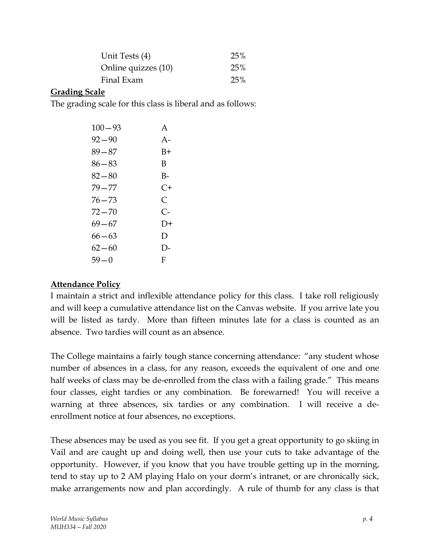| Unit Tests (4)      | 25% |
|---------------------|-----|
| Online quizzes (10) | 25% |
| Final Exam          | 25% |

#### **Grading Scale**

The grading scale for this class is liberal and as follows:

| $100 - 93$ | A        |
|------------|----------|
| 92—90      | $A -$    |
| 89–87      | B+       |
| 86—83      | В        |
| $82 - 80$  | B-       |
| 79—77      | C+       |
| 76—73      | C        |
| 72 — 70    | C-       |
| 69—67      | $1) +$   |
| 66—63      | D        |
| 62—60      | $\Gamma$ |
| 59—0       | F        |

#### **Attendance Policy**

I maintain a strict and inflexible attendance policy for this class. I take roll religiously and will keep a cumulative attendance list on the Canvas website. If you arrive late you will be listed as tardy. More than fifteen minutes late for a class is counted as an absence. Two tardies will count as an absence.

The College maintains a fairly tough stance concerning attendance: "any student whose number of absences in a class, for any reason, exceeds the equivalent of one and one half weeks of class may be de-enrolled from the class with a failing grade." This means four classes, eight tardies or any combination. Be forewarned! You will receive a warning at three absences, six tardies or any combination. I will receive a deenrollment notice at four absences, no exceptions.

These absences may be used as you see fit. If you get a great opportunity to go skiing in Vail and are caught up and doing well, then use your cuts to take advantage of the opportunity. However, if you know that you have trouble getting up in the morning, tend to stay up to 2 AM playing Halo on your dorm's intranet, or are chronically sick, make arrangements now and plan accordingly. A rule of thumb for any class is that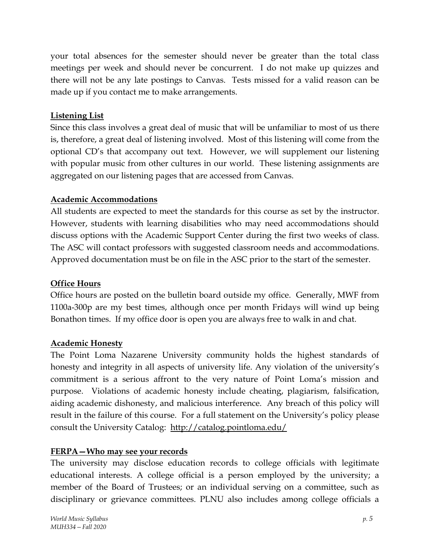your total absences for the semester should never be greater than the total class meetings per week and should never be concurrent. I do not make up quizzes and there will not be any late postings to Canvas. Tests missed for a valid reason can be made up if you contact me to make arrangements.

# **Listening List**

Since this class involves a great deal of music that will be unfamiliar to most of us there is, therefore, a great deal of listening involved. Most of this listening will come from the optional CD's that accompany out text. However, we will supplement our listening with popular music from other cultures in our world. These listening assignments are aggregated on our listening pages that are accessed from Canvas.

## **Academic Accommodations**

All students are expected to meet the standards for this course as set by the instructor. However, students with learning disabilities who may need accommodations should discuss options with the Academic Support Center during the first two weeks of class. The ASC will contact professors with suggested classroom needs and accommodations. Approved documentation must be on file in the ASC prior to the start of the semester.

# **Office Hours**

Office hours are posted on the bulletin board outside my office. Generally, MWF from 1100a-300p are my best times, although once per month Fridays will wind up being Bonathon times. If my office door is open you are always free to walk in and chat.

## **Academic Honesty**

The Point Loma Nazarene University community holds the highest standards of honesty and integrity in all aspects of university life. Any violation of the university's commitment is a serious affront to the very nature of Point Loma's mission and purpose. Violations of academic honesty include cheating, plagiarism, falsification, aiding academic dishonesty, and malicious interference. Any breach of this policy will result in the failure of this course. For a full statement on the University's policy please consult the University Catalog: <http://catalog.pointloma.edu/>

# **FERPA—Who may see your records**

The university may disclose education records to college officials with legitimate educational interests. A college official is a person employed by the university; a member of the Board of Trustees; or an individual serving on a committee, such as disciplinary or grievance committees. PLNU also includes among college officials a